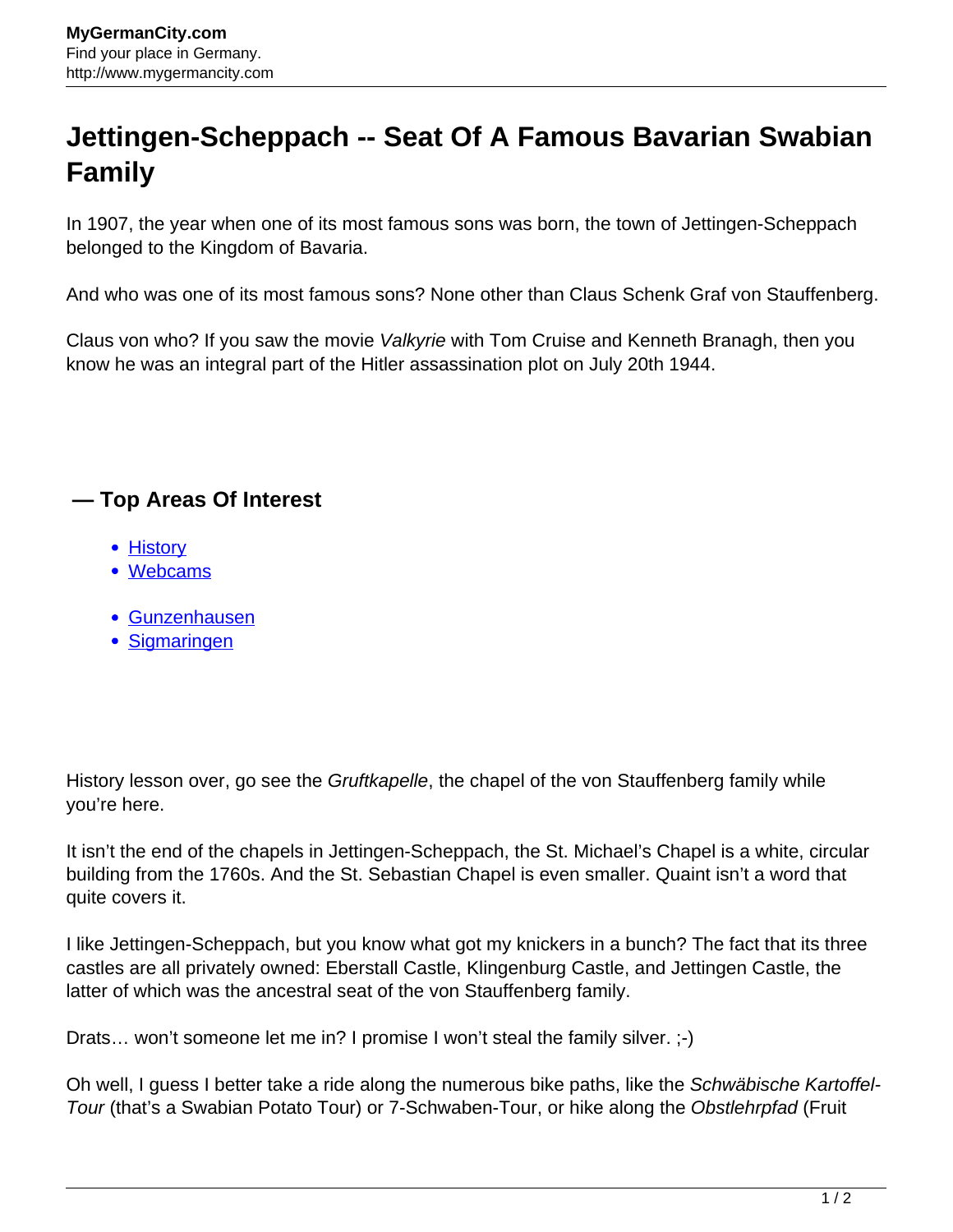## **Jettingen-Scheppach -- Seat Of A Famous Bavarian Swabian Family**

In 1907, the year when one of its most famous sons was born, the town of Jettingen-Scheppach belonged to the Kingdom of Bavaria.

And who was one of its most famous sons? None other than Claus Schenk Graf von Stauffenberg.

Claus von who? If you saw the movie Valkyrie with Tom Cruise and Kenneth Branagh, then you know he was an integral part of the Hitler assassination plot on July 20th 1944.

## **— Top Areas Of Interest**

- **[History](http://www.mygermancity.com/leipzig-history)**
- [Webcams](http://www.mygermancity.com/neustadt-holstein-webcams)
- [Gunzenhausen](http://www.mygermancity.com/gunzenhausen)
- [Sigmaringen](http://www.mygermancity.com/sigmaringen)

History lesson over, go see the *Gruftkapelle*, the chapel of the von Stauffenberg family while you're here.

It isn't the end of the chapels in Jettingen-Scheppach, the St. Michael's Chapel is a white, circular building from the 1760s. And the St. Sebastian Chapel is even smaller. Quaint isn't a word that quite covers it.

I like Jettingen-Scheppach, but you know what got my knickers in a bunch? The fact that its three castles are all privately owned: Eberstall Castle, Klingenburg Castle, and Jettingen Castle, the latter of which was the ancestral seat of the von Stauffenberg family.

Drats... won't someone let me in? I promise I won't steal the family silver. ;-)

Oh well, I guess I better take a ride along the numerous bike paths, like the Schwäbische Kartoffel-Tour (that's a Swabian Potato Tour) or 7-Schwaben-Tour, or hike along the Obstlehrpfad (Fruit